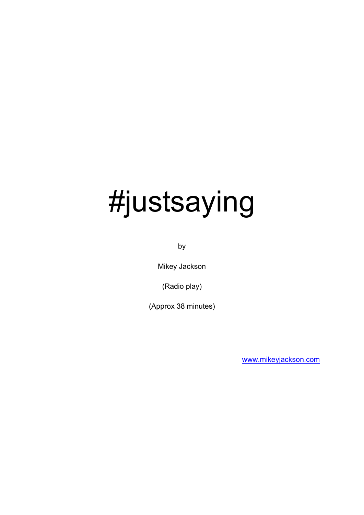# #justsaying

by

Mikey Jackson

(Radio play)

(Approx 38 minutes)

[www.mikeyjackson.com](http://www.mikeyjackson.com/)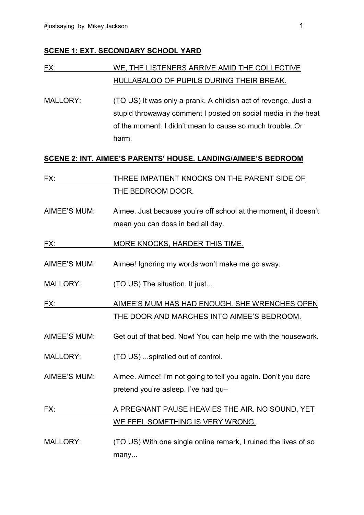#### **SCENE 1: EXT. SECONDARY SCHOOL YARD**

## FX: WE, THE LISTENERS ARRIVE AMID THE COLLECTIVE HULLABALOO OF PUPILS DURING THEIR BREAK.

MALLORY: (TO US) It was only a prank. A childish act of revenge. Just a stupid throwaway comment I posted on social media in the heat of the moment. I didn't mean to cause so much trouble. Or harm.

#### **SCENE 2: INT. AIMEE'S PARENTS' HOUSE. LANDING/AIMEE'S BEDROOM**

- FX: THREE IMPATIENT KNOCKS ON THE PARENT SIDE OF THE BEDROOM DOOR.
- AIMEE'S MUM: Aimee. Just because you're off school at the moment, it doesn't mean you can doss in bed all day.
- FX: MORE KNOCKS, HARDER THIS TIME.
- AIMEE'S MUM: Aimee! Ignoring my words won't make me go away.
- MALLORY: (TO US) The situation. It just...

FX: AIMEE'S MUM HAS HAD ENOUGH. SHE WRENCHES OPEN THE DOOR AND MARCHES INTO AIMEE'S BEDROOM.

- AIMEE'S MUM: Get out of that bed. Now! You can help me with the housework.
- MALLORY: (TO US) ...spiralled out of control.
- AIMEE'S MUM: Aimee. Aimee! I'm not going to tell you again. Don't you dare pretend you're asleep. I've had qu–

## FX: A PREGNANT PAUSE HEAVIES THE AIR. NO SOUND, YET WE FEEL SOMETHING IS VERY WRONG.

MALLORY: (TO US) With one single online remark, I ruined the lives of so many...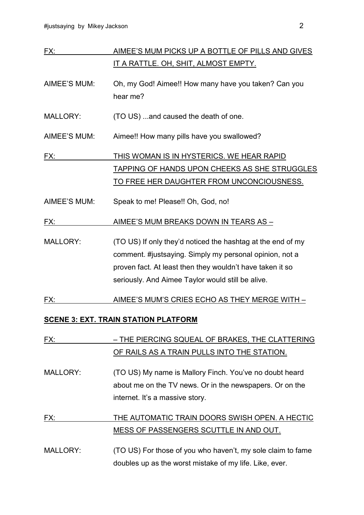| FX:             | AIMEE'S MUM PICKS UP A BOTTLE OF PILLS AND GIVES                                                                                                                                                                                         |
|-----------------|------------------------------------------------------------------------------------------------------------------------------------------------------------------------------------------------------------------------------------------|
|                 | <u>IT A RATTLE. OH, SHIT, ALMOST EMPTY.</u>                                                                                                                                                                                              |
| AIMEE'S MUM:    | Oh, my God! Aimee!! How many have you taken? Can you<br>hear me?                                                                                                                                                                         |
| <b>MALLORY:</b> | (TO US)  and caused the death of one.                                                                                                                                                                                                    |
| AIMEE'S MUM:    | Aimee!! How many pills have you swallowed?                                                                                                                                                                                               |
| <u>FX:</u>      | THIS WOMAN IS IN HYSTERICS. WE HEAR RAPID                                                                                                                                                                                                |
|                 | <b>TAPPING OF HANDS UPON CHEEKS AS SHE STRUGGLES</b><br><u>TO FREE HER DAUGHTER FROM UNCONCIOUSNESS.</u>                                                                                                                                 |
| AIMEE'S MUM:    | Speak to me! Please!! Oh, God, no!                                                                                                                                                                                                       |
| FX:             | <u>AIMEE'S MUM BREAKS DOWN IN TEARS AS -</u>                                                                                                                                                                                             |
| <b>MALLORY:</b> | (TO US) If only they'd noticed the hashtag at the end of my<br>comment. #justsaying. Simply my personal opinion, not a<br>proven fact. At least then they wouldn't have taken it so<br>seriously. And Aimee Taylor would still be alive. |
| FX:             | AIMEE'S MUM'S CRIES ECHO AS THEY MERGE WITH -                                                                                                                                                                                            |
|                 | <b>SCENE 3: EXT. TRAIN STATION PLATFORM</b>                                                                                                                                                                                              |
| FX:             | <u>- THE PIERCING SQUEAL OF BRAKES, THE CLATTERING</u><br>OF RAILS AS A TRAIN PULLS INTO THE STATION.                                                                                                                                    |
| <b>MALLORY:</b> | (TO US) My name is Mallory Finch. You've no doubt heard<br>about me on the TV news. Or in the newspapers. Or on the<br>internet. It's a massive story.                                                                                   |
| FX:             | THE AUTOMATIC TRAIN DOORS SWISH OPEN. A HECTIC<br><u>MESS OF PASSENGERS SCUTTLE IN AND OUT.</u>                                                                                                                                          |
| <b>MALLORY:</b> | (TO US) For those of you who haven't, my sole claim to fame<br>doubles up as the worst mistake of my life. Like, ever.                                                                                                                   |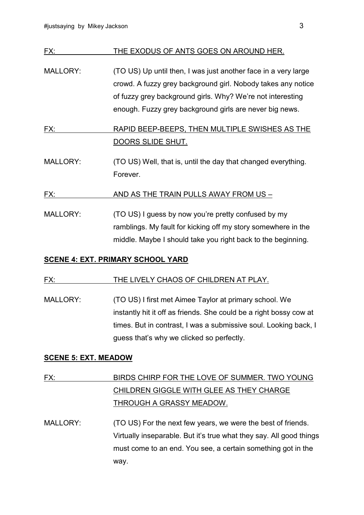| FX:             | THE EXODUS OF ANTS GOES ON AROUND HER.                                                                                                                                                                                                                  |
|-----------------|---------------------------------------------------------------------------------------------------------------------------------------------------------------------------------------------------------------------------------------------------------|
| <b>MALLORY:</b> | (TO US) Up until then, I was just another face in a very large<br>crowd. A fuzzy grey background girl. Nobody takes any notice<br>of fuzzy grey background girls. Why? We're not interesting<br>enough. Fuzzy grey background girls are never big news. |
| FX:             | RAPID BEEP-BEEPS, THEN MULTIPLE SWISHES AS THE                                                                                                                                                                                                          |
|                 | DOORS SLIDE SHUT.                                                                                                                                                                                                                                       |
| <b>MALLORY:</b> | (TO US) Well, that is, until the day that changed everything.<br>Forever.                                                                                                                                                                               |
| FX:             | AND AS THE TRAIN PULLS AWAY FROM US -                                                                                                                                                                                                                   |
| <b>MALLORY:</b> | (TO US) I guess by now you're pretty confused by my<br>ramblings. My fault for kicking off my story somewhere in the<br>middle. Maybe I should take you right back to the beginning.                                                                    |

#### **SCENE 4: EXT. PRIMARY SCHOOL YARD**

#### FX: THE LIVELY CHAOS OF CHILDREN AT PLAY.

MALLORY: (TO US) I first met Aimee Taylor at primary school. We instantly hit it off as friends. She could be a right bossy cow at times. But in contrast, I was a submissive soul. Looking back, I guess that's why we clicked so perfectly.

#### **SCENE 5: EXT. MEADOW**

## FX: BIRDS CHIRP FOR THE LOVE OF SUMMER. TWO YOUNG CHILDREN GIGGLE WITH GLEE AS THEY CHARGE THROUGH A GRASSY MEADOW.

MALLORY: (TO US) For the next few years, we were the best of friends. Virtually inseparable. But it's true what they say. All good things must come to an end. You see, a certain something got in the way.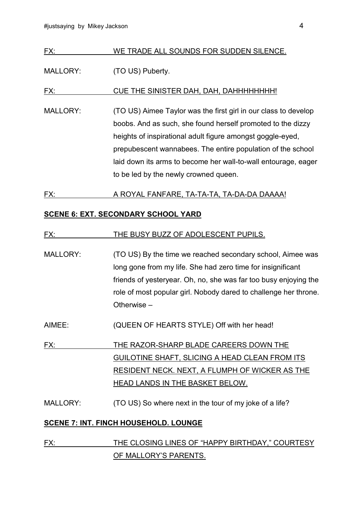#### FX: WE TRADE ALL SOUNDS FOR SUDDEN SILENCE.

#### MALLORY: (TO US) Puberty.

FX: CUE THE SINISTER DAH, DAH, DAHHHHHHHH!

MALLORY: (TO US) Aimee Taylor was the first girl in our class to develop boobs. And as such, she found herself promoted to the dizzy heights of inspirational adult figure amongst goggle-eyed, prepubescent wannabees. The entire population of the school laid down its arms to become her wall-to-wall entourage, eager to be led by the newly crowned queen.

#### FX: A ROYAL FANFARE, TA-TA-TA, TA-DA-DA DAAAA!

#### **SCENE 6: EXT. SECONDARY SCHOOL YARD**

#### FX: THE BUSY BUZZ OF ADOLESCENT PUPILS.

- MALLORY: (TO US) By the time we reached secondary school, Aimee was long gone from my life. She had zero time for insignificant friends of yesteryear. Oh, no, she was far too busy enjoying the role of most popular girl. Nobody dared to challenge her throne. Otherwise –
- AIMEE: (QUEEN OF HEARTS STYLE) Off with her head!
- FX: THE RAZOR-SHARP BLADE CAREERS DOWN THE GUILOTINE SHAFT, SLICING A HEAD CLEAN FROM ITS RESIDENT NECK. NEXT, A FLUMPH OF WICKER AS THE HEAD LANDS IN THE BASKET BELOW.
- MALLORY: (TO US) So where next in the tour of my joke of a life?

#### **SCENE 7: INT. FINCH HOUSEHOLD. LOUNGE**

FX: THE CLOSING LINES OF "HAPPY BIRTHDAY," COURTESY OF MALLORY'S PARENTS.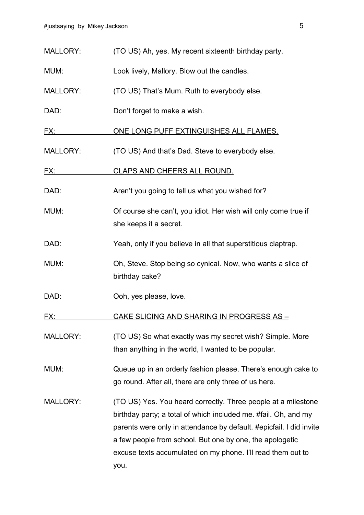| <b>MALLORY:</b> | (TO US) Ah, yes. My recent sixteenth birthday party.                                                                                                                                                                                                                                                                                       |
|-----------------|--------------------------------------------------------------------------------------------------------------------------------------------------------------------------------------------------------------------------------------------------------------------------------------------------------------------------------------------|
| MUM:            | Look lively, Mallory. Blow out the candles.                                                                                                                                                                                                                                                                                                |
| MALLORY:        | (TO US) That's Mum. Ruth to everybody else.                                                                                                                                                                                                                                                                                                |
| DAD:            | Don't forget to make a wish.                                                                                                                                                                                                                                                                                                               |
| <u>FX:</u>      | ONE LONG PUFF EXTINGUISHES ALL FLAMES.                                                                                                                                                                                                                                                                                                     |
| <b>MALLORY:</b> | (TO US) And that's Dad. Steve to everybody else.                                                                                                                                                                                                                                                                                           |
| <u>FX:</u>      | CLAPS AND CHEERS ALL ROUND.                                                                                                                                                                                                                                                                                                                |
| DAD:            | Aren't you going to tell us what you wished for?                                                                                                                                                                                                                                                                                           |
| MUM:            | Of course she can't, you idiot. Her wish will only come true if<br>she keeps it a secret.                                                                                                                                                                                                                                                  |
| DAD:            | Yeah, only if you believe in all that superstitious claptrap.                                                                                                                                                                                                                                                                              |
| MUM:            | Oh, Steve. Stop being so cynical. Now, who wants a slice of<br>birthday cake?                                                                                                                                                                                                                                                              |
| DAD:            | Ooh, yes please, love.                                                                                                                                                                                                                                                                                                                     |
| FX:             | CAKE SLICING AND SHARING IN PROGRESS AS -                                                                                                                                                                                                                                                                                                  |
| MALLORY:        | (TO US) So what exactly was my secret wish? Simple. More<br>than anything in the world, I wanted to be popular.                                                                                                                                                                                                                            |
| MUM:            | Queue up in an orderly fashion please. There's enough cake to<br>go round. After all, there are only three of us here.                                                                                                                                                                                                                     |
| <b>MALLORY:</b> | (TO US) Yes. You heard correctly. Three people at a milestone<br>birthday party; a total of which included me. #fail. Oh, and my<br>parents were only in attendance by default. #epicfail. I did invite<br>a few people from school. But one by one, the apologetic<br>excuse texts accumulated on my phone. I'll read them out to<br>you. |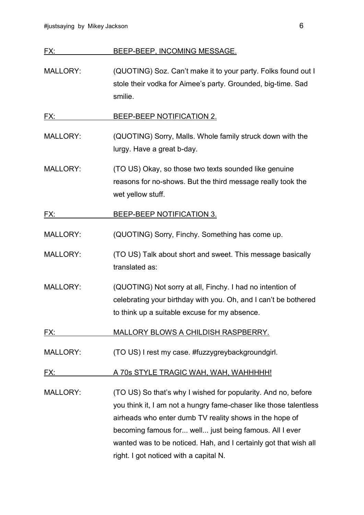## FX: BEEP-BEEP, INCOMING MESSAGE.

MALLORY: (QUOTING) Soz. Can't make it to your party. Folks found out I stole their vodka for Aimee's party. Grounded, big-time. Sad smilie.

FX: BEEP-BEEP NOTIFICATION 2.

- MALLORY: (QUOTING) Sorry, Malls. Whole family struck down with the lurgy. Have a great b-day.
- MALLORY: (TO US) Okay, so those two texts sounded like genuine reasons for no-shows. But the third message really took the wet yellow stuff.
- FX: BEEP-BEEP NOTIFICATION 3.
- MALLORY: (QUOTING) Sorry, Finchy. Something has come up.
- MALLORY: (TO US) Talk about short and sweet. This message basically translated as:
- MALLORY: (QUOTING) Not sorry at all, Finchy. I had no intention of celebrating your birthday with you. Oh, and I can't be bothered to think up a suitable excuse for my absence.
- FX: MALLORY BLOWS A CHILDISH RASPBERRY.
- MALLORY: (TO US) I rest my case. #fuzzygreybackgroundgirl.
- FX: A 70s STYLE TRAGIC WAH, WAH, WAHHHHH!
- MALLORY: (TO US) So that's why I wished for popularity. And no, before you think it, I am not a hungry fame-chaser like those talentless airheads who enter dumb TV reality shows in the hope of becoming famous for... well... just being famous. All I ever wanted was to be noticed. Hah, and I certainly got that wish all right. I got noticed with a capital N.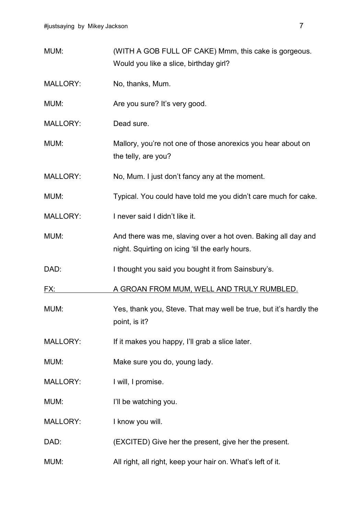| MUM:            | (WITH A GOB FULL OF CAKE) Mmm, this cake is gorgeous.<br>Would you like a slice, birthday girl?                  |
|-----------------|------------------------------------------------------------------------------------------------------------------|
| <b>MALLORY:</b> | No, thanks, Mum.                                                                                                 |
| MUM:            | Are you sure? It's very good.                                                                                    |
| <b>MALLORY:</b> | Dead sure.                                                                                                       |
| MUM:            | Mallory, you're not one of those anorexics you hear about on<br>the telly, are you?                              |
| <b>MALLORY:</b> | No, Mum. I just don't fancy any at the moment.                                                                   |
| MUM:            | Typical. You could have told me you didn't care much for cake.                                                   |
| <b>MALLORY:</b> | I never said I didn't like it.                                                                                   |
| MUM:            | And there was me, slaving over a hot oven. Baking all day and<br>night. Squirting on icing 'til the early hours. |
| DAD:            | I thought you said you bought it from Sainsbury's.                                                               |
| FX:             | A GROAN FROM MUM, WELL AND TRULY RUMBLED.                                                                        |
| MUM:            | Yes, thank you, Steve. That may well be true, but it's hardly the<br>point, is it?                               |
| <b>MALLORY:</b> | If it makes you happy, I'll grab a slice later.                                                                  |
| MUM:            | Make sure you do, young lady.                                                                                    |
| <b>MALLORY:</b> | I will, I promise.                                                                                               |
|                 |                                                                                                                  |
| MUM:            | I'll be watching you.                                                                                            |
| <b>MALLORY:</b> | I know you will.                                                                                                 |
| DAD:            | (EXCITED) Give her the present, give her the present.                                                            |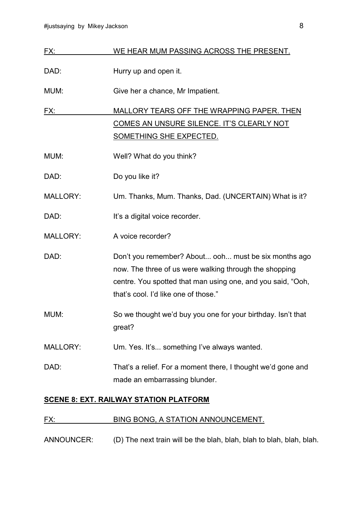| FX:             | WE HEAR MUM PASSING ACROSS THE PRESENT.                                                                                                                                                                               |
|-----------------|-----------------------------------------------------------------------------------------------------------------------------------------------------------------------------------------------------------------------|
| DAD:            | Hurry up and open it.                                                                                                                                                                                                 |
| MUM:            | Give her a chance, Mr Impatient.                                                                                                                                                                                      |
| FX:             | MALLORY TEARS OFF THE WRAPPING PAPER. THEN                                                                                                                                                                            |
|                 | COMES AN UNSURE SILENCE. IT'S CLEARLY NOT                                                                                                                                                                             |
|                 | <b>SOMETHING SHE EXPECTED.</b>                                                                                                                                                                                        |
| MUM:            | Well? What do you think?                                                                                                                                                                                              |
| DAD:            | Do you like it?                                                                                                                                                                                                       |
| <b>MALLORY:</b> | Um. Thanks, Mum. Thanks, Dad. (UNCERTAIN) What is it?                                                                                                                                                                 |
| DAD:            | It's a digital voice recorder.                                                                                                                                                                                        |
| <b>MALLORY:</b> | A voice recorder?                                                                                                                                                                                                     |
| DAD:            | Don't you remember? About ooh must be six months ago<br>now. The three of us were walking through the shopping<br>centre. You spotted that man using one, and you said, "Ooh,<br>that's cool. I'd like one of those." |
| MUM:            | So we thought we'd buy you one for your birthday. Isn't that<br>great?                                                                                                                                                |
| <b>MALLORY:</b> | Um. Yes. It's something I've always wanted.                                                                                                                                                                           |
| DAD:            | That's a relief. For a moment there, I thought we'd gone and<br>made an embarrassing blunder.                                                                                                                         |

## **SCENE 8: EXT. RAILWAY STATION PLATFORM**

#### FX: BING BONG, A STATION ANNOUNCEMENT.

ANNOUNCER: (D) The next train will be the blah, blah, blah to blah, blah, blah.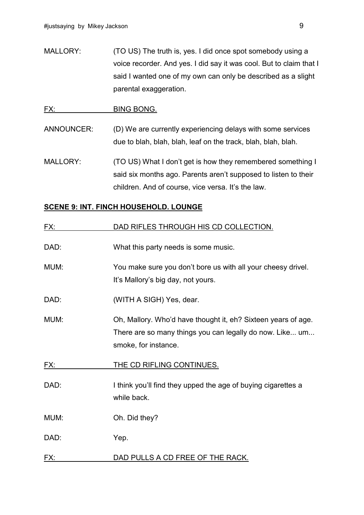MALLORY: (TO US) The truth is, yes. I did once spot somebody using a voice recorder. And yes. I did say it was cool. But to claim that I said I wanted one of my own can only be described as a slight parental exaggeration.

#### FX: BING BONG.

ANNOUNCER: (D) We are currently experiencing delays with some services due to blah, blah, blah, leaf on the track, blah, blah, blah.

MALLORY: (TO US) What I don't get is how they remembered something I said six months ago. Parents aren't supposed to listen to their children. And of course, vice versa. It's the law.

#### **SCENE 9: INT. FINCH HOUSEHOLD. LOUNGE**

| <u>FX:</u> | DAD RIFLES THROUGH HIS CD COLLECTION.                                                                                                             |
|------------|---------------------------------------------------------------------------------------------------------------------------------------------------|
| DAD:       | What this party needs is some music.                                                                                                              |
| MUM:       | You make sure you don't bore us with all your cheesy drivel.<br>It's Mallory's big day, not yours.                                                |
| DAD:       | (WITH A SIGH) Yes, dear.                                                                                                                          |
| MUM:       | Oh, Mallory. Who'd have thought it, eh? Sixteen years of age.<br>There are so many things you can legally do now. Like um<br>smoke, for instance. |
| FX:        | THE CD RIFLING CONTINUES.                                                                                                                         |
| DAD:       | I think you'll find they upped the age of buying cigarettes a<br>while back.                                                                      |
| MUM:       | Oh. Did they?                                                                                                                                     |
| DAD:       | Yep.                                                                                                                                              |
| FX:        | DAD PULLS A CD FREE OF THE RACK.                                                                                                                  |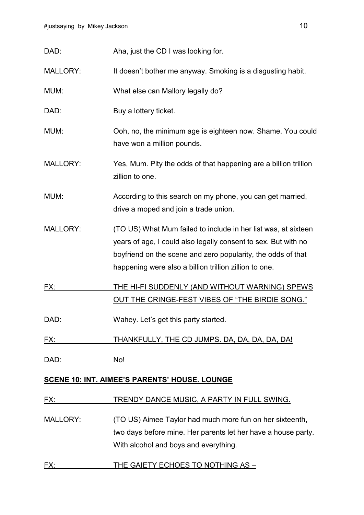| DAD:            | Aha, just the CD I was looking for.                                                                                                                                                                                                                        |
|-----------------|------------------------------------------------------------------------------------------------------------------------------------------------------------------------------------------------------------------------------------------------------------|
| <b>MALLORY:</b> | It doesn't bother me anyway. Smoking is a disgusting habit.                                                                                                                                                                                                |
| MUM:            | What else can Mallory legally do?                                                                                                                                                                                                                          |
| DAD:            | Buy a lottery ticket.                                                                                                                                                                                                                                      |
| MUM:            | Ooh, no, the minimum age is eighteen now. Shame. You could<br>have won a million pounds.                                                                                                                                                                   |
| <b>MALLORY:</b> | Yes, Mum. Pity the odds of that happening are a billion trillion<br>zillion to one.                                                                                                                                                                        |
| MUM:            | According to this search on my phone, you can get married,<br>drive a moped and join a trade union.                                                                                                                                                        |
| <b>MALLORY:</b> | (TO US) What Mum failed to include in her list was, at sixteen<br>years of age, I could also legally consent to sex. But with no<br>boyfriend on the scene and zero popularity, the odds of that<br>happening were also a billion trillion zillion to one. |
| <u>FX:</u>      | THE HI-FI SUDDENLY (AND WITHOUT WARNING) SPEWS<br>OUT THE CRINGE-FEST VIBES OF "THE BIRDIE SONG."                                                                                                                                                          |
| DAD:            | Wahey. Let's get this party started.                                                                                                                                                                                                                       |
| FX:             | THANKFULLY, THE CD JUMPS. DA, DA, DA, DA, DA!                                                                                                                                                                                                              |
| DAD:            | No!                                                                                                                                                                                                                                                        |
|                 | <b>SCENE 10: INT. AIMEE'S PARENTS' HOUSE. LOUNGE</b>                                                                                                                                                                                                       |
| <u>FX:</u>      | TRENDY DANCE MUSIC, A PARTY IN FULL SWING.                                                                                                                                                                                                                 |
| MALLORY:        | (TO US) Aimee Taylor had much more fun on her sixteenth,<br>two days before mine. Her parents let her have a house party.                                                                                                                                  |

With alcohol and boys and everything.

## FX: THE GAIETY ECHOES TO NOTHING AS -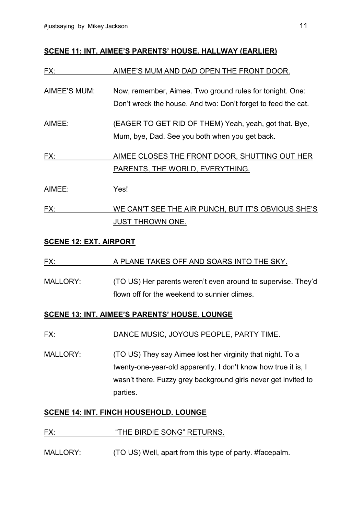#### **SCENE 11: INT. AIMEE'S PARENTS' HOUSE. HALLWAY (EARLIER)**

| FX:          | AIMEE'S MUM AND DAD OPEN THE FRONT DOOR.                                                                                  |
|--------------|---------------------------------------------------------------------------------------------------------------------------|
| AIMEE'S MUM: | Now, remember, Aimee. Two ground rules for tonight. One:<br>Don't wreck the house. And two: Don't forget to feed the cat. |
| AIMEE:       | (EAGER TO GET RID OF THEM) Yeah, yeah, got that. Bye,<br>Mum, bye, Dad. See you both when you get back.                   |
| FX:          | AIMEE CLOSES THE FRONT DOOR, SHUTTING OUT HER<br>PARENTS, THE WORLD, EVERYTHING.                                          |
| AIMEE:       | Yes!                                                                                                                      |
| FX:          | WE CAN'T SEE THE AIR PUNCH, BUT IT'S OBVIOUS SHE'S                                                                        |

#### **SCENE 12: EXT. AIRPORT**

#### FX: A PLANE TAKES OFF AND SOARS INTO THE SKY.

JUST THROWN ONE.

MALLORY: (TO US) Her parents weren't even around to supervise. They'd flown off for the weekend to sunnier climes.

#### **SCENE 13: INT. AIMEE'S PARENTS' HOUSE. LOUNGE**

#### FX: DANCE MUSIC, JOYOUS PEOPLE, PARTY TIME.

MALLORY: (TO US) They say Aimee lost her virginity that night. To a twenty-one-year-old apparently. I don't know how true it is, I wasn't there. Fuzzy grey background girls never get invited to parties.

#### **SCENE 14: INT. FINCH HOUSEHOLD. LOUNGE**

#### FX: "THE BIRDIE SONG" RETURNS.

MALLORY: (TO US) Well, apart from this type of party. #facepalm.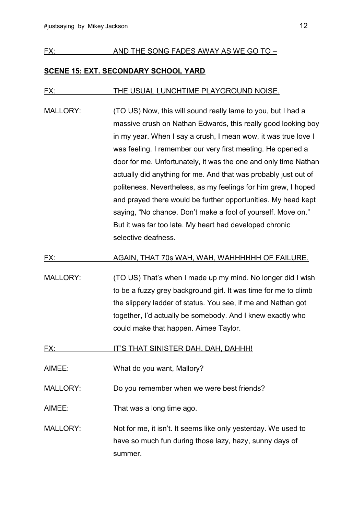#### FX: AND THE SONG FADES AWAY AS WE GO TO –

#### **SCENE 15: EXT. SECONDARY SCHOOL YARD**

#### FX: THE USUAL LUNCHTIME PLAYGROUND NOISE.

MALLORY: (TO US) Now, this will sound really lame to you, but I had a massive crush on Nathan Edwards, this really good looking boy in my year. When I say a crush, I mean wow, it was true love I was feeling. I remember our very first meeting. He opened a door for me. Unfortunately, it was the one and only time Nathan actually did anything for me. And that was probably just out of politeness. Nevertheless, as my feelings for him grew, I hoped and prayed there would be further opportunities. My head kept saying, "No chance. Don't make a fool of yourself. Move on." But it was far too late. My heart had developed chronic selective deafness.

#### FX: AGAIN, THAT 70s WAH, WAH, WAHHHHHH OF FAILURE.

- MALLORY: (TO US) That's when I made up my mind. No longer did I wish to be a fuzzy grey background girl. It was time for me to climb the slippery ladder of status. You see, if me and Nathan got together, I'd actually be somebody. And I knew exactly who could make that happen. Aimee Taylor.
- FX: IT'S THAT SINISTER DAH, DAH, DAHHH!
- AIMEE: What do you want, Mallory?
- MALLORY: Do you remember when we were best friends?
- AIMEE: That was a long time ago.
- MALLORY: Not for me, it isn't. It seems like only yesterday. We used to have so much fun during those lazy, hazy, sunny days of summer.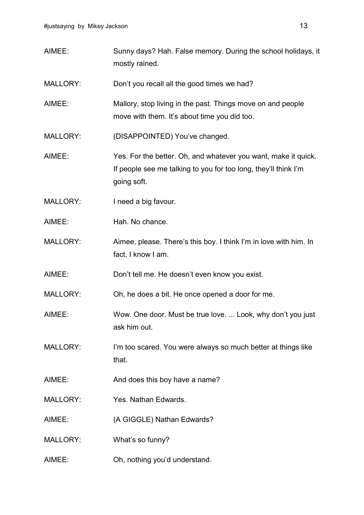AIMEE: Sunny days? Hah. False memory. During the school holidays, it mostly rained. MALLORY: Don't you recall all the good times we had? AIMEE: Mallory, stop living in the past. Things move on and people move with them. It's about time you did too. MALLORY: (DISAPPOINTED) You've changed. AIMEE: Yes. For the better. Oh, and whatever you want, make it quick. If people see me talking to you for too long, they'll think I'm going soft. MALLORY: I need a big favour. AIMEE: Hah. No chance. MALLORY: Aimee, please. There's this boy. I think I'm in love with him. In fact, I know I am. AIMEE: Don't tell me. He doesn't even know you exist. MALLORY: Oh, he does a bit. He once opened a door for me. AIMEE: Wow. One door. Must be true love. ... Look, why don't you just ask him out. MALLORY: I'm too scared. You were always so much better at things like that. AIMEE: And does this boy have a name? MALLORY: Yes. Nathan Edwards. AIMEE: (A GIGGLE) Nathan Edwards? MALLORY: What's so funny? AIMEE: Oh, nothing you'd understand.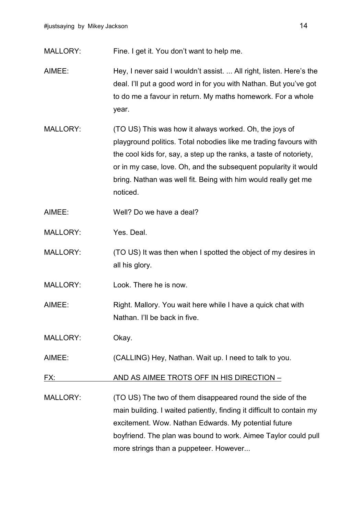MALLORY: Fine. I get it. You don't want to help me.

- AIMEE: Hey, I never said I wouldn't assist. ... All right, listen. Here's the deal. I'll put a good word in for you with Nathan. But you've got to do me a favour in return. My maths homework. For a whole year.
- MALLORY: (TO US) This was how it always worked. Oh, the joys of playground politics. Total nobodies like me trading favours with the cool kids for, say, a step up the ranks, a taste of notoriety, or in my case, love. Oh, and the subsequent popularity it would bring. Nathan was well fit. Being with him would really get me noticed.
- AIMEE: Well? Do we have a deal?
- MALLORY: Yes. Deal.
- MALLORY: (TO US) It was then when I spotted the object of my desires in all his glory.
- MALLORY: Look. There he is now.
- AIMEE: Right. Mallory. You wait here while I have a quick chat with Nathan. I'll be back in five.
- MALLORY: Okay.
- AIMEE: (CALLING) Hey, Nathan. Wait up. I need to talk to you.
- FX: AND AS AIMEE TROTS OFF IN HIS DIRECTION –
- MALLORY: (TO US) The two of them disappeared round the side of the main building. I waited patiently, finding it difficult to contain my excitement. Wow. Nathan Edwards. My potential future boyfriend. The plan was bound to work. Aimee Taylor could pull more strings than a puppeteer. However...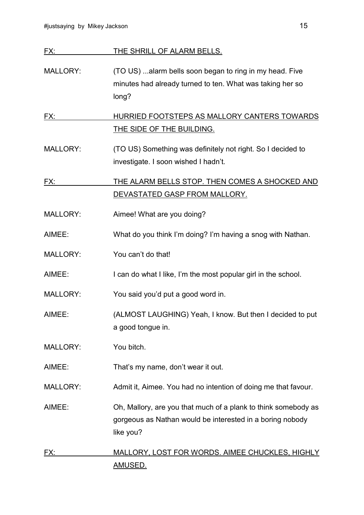| FX:             | THE SHRILL OF ALARM BELLS.                                                                                                    |
|-----------------|-------------------------------------------------------------------------------------------------------------------------------|
| <b>MALLORY:</b> | (TO US) alarm bells soon began to ring in my head. Five<br>minutes had already turned to ten. What was taking her so<br>long? |
| FX:             | HURRIED FOOTSTEPS AS MALLORY CANTERS TOWARDS<br>THE SIDE OF THE BUILDING.                                                     |
| MALLORY:        | (TO US) Something was definitely not right. So I decided to<br>investigate. I soon wished I hadn't.                           |

FX: THE ALARM BELLS STOP. THEN COMES A SHOCKED AND DEVASTATED GASP FROM MALLORY.

MALLORY: Aimee! What are you doing?

- AIMEE: What do you think I'm doing? I'm having a snog with Nathan.
- MALLORY: You can't do that!
- AIMEE: I can do what I like, I'm the most popular girl in the school.
- MALLORY: You said you'd put a good word in.
- AIMEE: (ALMOST LAUGHING) Yeah, I know. But then I decided to put a good tongue in.
- MALLORY: You bitch.
- AIMEE: That's my name, don't wear it out.
- MALLORY: Admit it, Aimee. You had no intention of doing me that favour.

AIMEE: Oh, Mallory, are you that much of a plank to think somebody as gorgeous as Nathan would be interested in a boring nobody like you?

## FX: MALLORY, LOST FOR WORDS. AIMEE CHUCKLES, HIGHLY AMUSED.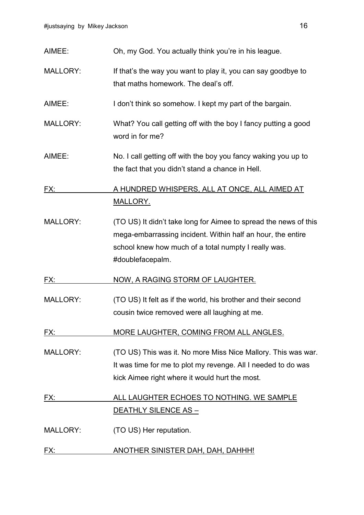| AIMEE:          | Oh, my God. You actually think you're in his league.                                                                                                                                                        |
|-----------------|-------------------------------------------------------------------------------------------------------------------------------------------------------------------------------------------------------------|
| <b>MALLORY:</b> | If that's the way you want to play it, you can say goodbye to<br>that maths homework. The deal's off.                                                                                                       |
| AIMEE:          | I don't think so somehow. I kept my part of the bargain.                                                                                                                                                    |
| <b>MALLORY:</b> | What? You call getting off with the boy I fancy putting a good<br>word in for me?                                                                                                                           |
| AIMEE:          | No. I call getting off with the boy you fancy waking you up to<br>the fact that you didn't stand a chance in Hell.                                                                                          |
| FX:             | A HUNDRED WHISPERS, ALL AT ONCE, ALL AIMED AT                                                                                                                                                               |
|                 | <b>MALLORY.</b>                                                                                                                                                                                             |
| <b>MALLORY:</b> | (TO US) It didn't take long for Aimee to spread the news of this<br>mega-embarrassing incident. Within half an hour, the entire<br>school knew how much of a total numpty I really was.<br>#doublefacepalm. |
| FX:             | <u>NOW, A RAGING STORM OF LAUGHTER.</u>                                                                                                                                                                     |
| <b>MALLORY:</b> | (TO US) It felt as if the world, his brother and their second<br>cousin twice removed were all laughing at me.                                                                                              |
| FX:             | MORE LAUGHTER, COMING FROM ALL ANGLES.                                                                                                                                                                      |
| <b>MALLORY:</b> | (TO US) This was it. No more Miss Nice Mallory. This was war.<br>It was time for me to plot my revenge. All I needed to do was<br>kick Aimee right where it would hurt the most.                            |
| FX:             | ALL LAUGHTER ECHOES TO NOTHING. WE SAMPLE                                                                                                                                                                   |
|                 | <u> DEATHLY SILENCE AS – </u>                                                                                                                                                                               |
| <b>MALLORY:</b> | (TO US) Her reputation.                                                                                                                                                                                     |
| FX:             | ANOTHER SINISTER DAH, DAH, DAHHH!                                                                                                                                                                           |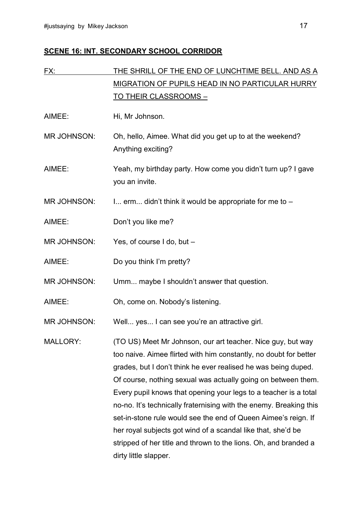## **SCENE 16: INT. SECONDARY SCHOOL CORRIDOR**

| FX:                | THE SHRILL OF THE END OF LUNCHTIME BELL. AND AS A                                                                                                                                                                                                                                                                                                                                                                                                                                                                                                                                                                                            |
|--------------------|----------------------------------------------------------------------------------------------------------------------------------------------------------------------------------------------------------------------------------------------------------------------------------------------------------------------------------------------------------------------------------------------------------------------------------------------------------------------------------------------------------------------------------------------------------------------------------------------------------------------------------------------|
|                    | <b>MIGRATION OF PUPILS HEAD IN NO PARTICULAR HURRY</b>                                                                                                                                                                                                                                                                                                                                                                                                                                                                                                                                                                                       |
|                    | <u>TO THEIR CLASSROOMS -</u>                                                                                                                                                                                                                                                                                                                                                                                                                                                                                                                                                                                                                 |
| AIMEE:             | Hi, Mr Johnson.                                                                                                                                                                                                                                                                                                                                                                                                                                                                                                                                                                                                                              |
| <b>MR JOHNSON:</b> | Oh, hello, Aimee. What did you get up to at the weekend?<br>Anything exciting?                                                                                                                                                                                                                                                                                                                                                                                                                                                                                                                                                               |
| AIMEE:             | Yeah, my birthday party. How come you didn't turn up? I gave<br>you an invite.                                                                                                                                                                                                                                                                                                                                                                                                                                                                                                                                                               |
| <b>MR JOHNSON:</b> | I erm didn't think it would be appropriate for me to -                                                                                                                                                                                                                                                                                                                                                                                                                                                                                                                                                                                       |
| AIMEE:             | Don't you like me?                                                                                                                                                                                                                                                                                                                                                                                                                                                                                                                                                                                                                           |
| <b>MR JOHNSON:</b> | Yes, of course I do, but -                                                                                                                                                                                                                                                                                                                                                                                                                                                                                                                                                                                                                   |
| AIMEE:             | Do you think I'm pretty?                                                                                                                                                                                                                                                                                                                                                                                                                                                                                                                                                                                                                     |
| <b>MR JOHNSON:</b> | Umm maybe I shouldn't answer that question.                                                                                                                                                                                                                                                                                                                                                                                                                                                                                                                                                                                                  |
| AIMEE:             | Oh, come on. Nobody's listening.                                                                                                                                                                                                                                                                                                                                                                                                                                                                                                                                                                                                             |
| <b>MR JOHNSON:</b> | Well yes I can see you're an attractive girl.                                                                                                                                                                                                                                                                                                                                                                                                                                                                                                                                                                                                |
| <b>MALLORY:</b>    | (TO US) Meet Mr Johnson, our art teacher. Nice guy, but way<br>too naive. Aimee flirted with him constantly, no doubt for better<br>grades, but I don't think he ever realised he was being duped.<br>Of course, nothing sexual was actually going on between them.<br>Every pupil knows that opening your legs to a teacher is a total<br>no-no. It's technically fraternising with the enemy. Breaking this<br>set-in-stone rule would see the end of Queen Aimee's reign. If<br>her royal subjects got wind of a scandal like that, she'd be<br>stripped of her title and thrown to the lions. Oh, and branded a<br>dirty little slapper. |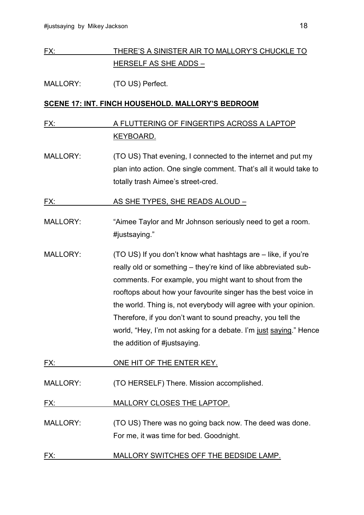## FX: THERE'S A SINISTER AIR TO MALLORY'S CHUCKLE TO HERSELF AS SHE ADDS –

#### MALLORY: (TO US) Perfect.

#### **SCENE 17: INT. FINCH HOUSEHOLD. MALLORY'S BEDROOM**

## FX: A FLUTTERING OF FINGERTIPS ACROSS A LAPTOP KEYBOARD.

MALLORY: (TO US) That evening, I connected to the internet and put my plan into action. One single comment. That's all it would take to totally trash Aimee's street-cred.

FX: AS SHE TYPES, SHE READS ALOUD –

- MALLORY: "Aimee Taylor and Mr Johnson seriously need to get a room. #justsaying."
- MALLORY: (TO US) If you don't know what hashtags are like, if you're really old or something – they're kind of like abbreviated subcomments. For example, you might want to shout from the rooftops about how your favourite singer has the best voice in the world. Thing is, not everybody will agree with your opinion. Therefore, if you don't want to sound preachy, you tell the world, "Hey, I'm not asking for a debate. I'm just saying." Hence the addition of #justsaying.
- FX: ONE HIT OF THE ENTER KEY.
- MALLORY: (TO HERSELF) There. Mission accomplished.

FX: MALLORY CLOSES THE LAPTOP.

- MALLORY: (TO US) There was no going back now. The deed was done. For me, it was time for bed. Goodnight.
- FX: MALLORY SWITCHES OFF THE BEDSIDE LAMP.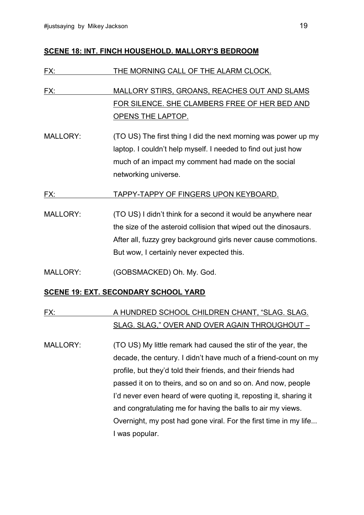#### **SCENE 18: INT. FINCH HOUSEHOLD. MALLORY'S BEDROOM**

| FX:             | THE MORNING CALL OF THE ALARM CLOCK.                                                                                                                                                                                                             |
|-----------------|--------------------------------------------------------------------------------------------------------------------------------------------------------------------------------------------------------------------------------------------------|
| FX:             | MALLORY STIRS, GROANS, REACHES OUT AND SLAMS<br>FOR SILENCE. SHE CLAMBERS FREE OF HER BED AND<br><u>OPENS THE LAPTOP.</u>                                                                                                                        |
| <b>MALLORY:</b> | (TO US) The first thing I did the next morning was power up my<br>laptop. I couldn't help myself. I needed to find out just how<br>much of an impact my comment had made on the social<br>networking universe.                                   |
| FX:             | TAPPY-TAPPY OF FINGERS UPON KEYBOARD.                                                                                                                                                                                                            |
| <b>MALLORY:</b> | (TO US) I didn't think for a second it would be anywhere near<br>the size of the asteroid collision that wiped out the dinosaurs.<br>After all, fuzzy grey background girls never cause commotions.<br>But wow, I certainly never expected this. |
| <b>MALLORY:</b> | (GOBSMACKED) Oh. My. God.                                                                                                                                                                                                                        |

#### **SCENE 19: EXT. SECONDARY SCHOOL YARD**

## FX: A HUNDRED SCHOOL CHILDREN CHANT, "SLAG. SLAG. SLAG. SLAG," OVER AND OVER AGAIN THROUGHOUT –

MALLORY: (TO US) My little remark had caused the stir of the year, the decade, the century. I didn't have much of a friend-count on my profile, but they'd told their friends, and their friends had passed it on to theirs, and so on and so on. And now, people I'd never even heard of were quoting it, reposting it, sharing it and congratulating me for having the balls to air my views. Overnight, my post had gone viral. For the first time in my life... I was popular.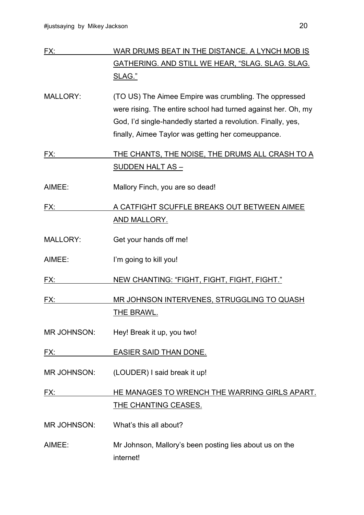| FX:                | WAR DRUMS BEAT IN THE DISTANCE. A LYNCH MOB IS                |
|--------------------|---------------------------------------------------------------|
|                    | GATHERING. AND STILL WE HEAR, "SLAG. SLAG. SLAG.              |
|                    | SLAG."                                                        |
| <b>MALLORY:</b>    | (TO US) The Aimee Empire was crumbling. The oppressed         |
|                    | were rising. The entire school had turned against her. Oh, my |
|                    | God, I'd single-handedly started a revolution. Finally, yes,  |
|                    | finally, Aimee Taylor was getting her comeuppance.            |
| FX:                | THE CHANTS, THE NOISE, THE DRUMS ALL CRASH TO A               |
|                    | <u>SUDDEN HALT AS -</u>                                       |
| AIMEE:             | Mallory Finch, you are so dead!                               |
| FX:                | A CATFIGHT SCUFFLE BREAKS OUT BETWEEN AIMEE                   |
|                    | <b>AND MALLORY.</b>                                           |
| <b>MALLORY:</b>    | Get your hands off me!                                        |
| AIMEE:             | I'm going to kill you!                                        |
| FX:                | NEW CHANTING: "FIGHT, FIGHT, FIGHT, FIGHT."                   |
| FX:                | MR JOHNSON INTERVENES, STRUGGLING TO QUASH                    |
|                    | THE BRAWL.                                                    |
| MR JOHNSON:        | Hey! Break it up, you two!                                    |
| FX:                | <b>EASIER SAID THAN DONE.</b>                                 |
| <b>MR JOHNSON:</b> | (LOUDER) I said break it up!                                  |
| FX:                | HE MANAGES TO WRENCH THE WARRING GIRLS APART.                 |
|                    | <u>THE CHANTING CEASES.</u>                                   |
| <b>MR JOHNSON:</b> | What's this all about?                                        |
| AIMEE:             | Mr Johnson, Mallory's been posting lies about us on the       |
|                    | internet!                                                     |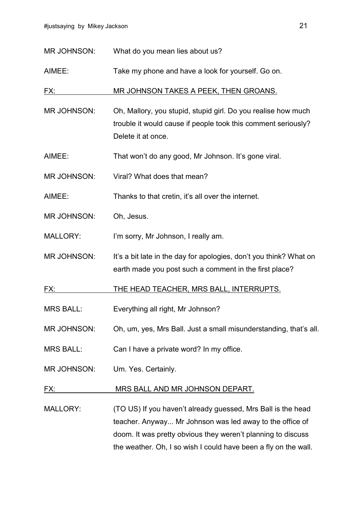| <b>MR JOHNSON:</b> | What do you mean lies about us? |  |
|--------------------|---------------------------------|--|
|--------------------|---------------------------------|--|

AIMEE: Take my phone and have a look for yourself. Go on.

FX: MR JOHNSON TAKES A PEEK, THEN GROANS.

MR JOHNSON: Oh, Mallory, you stupid, stupid girl. Do you realise how much trouble it would cause if people took this comment seriously? Delete it at once.

AIMEE: That won't do any good, Mr Johnson. It's gone viral.

MR JOHNSON: Viral? What does that mean?

AIMEE: Thanks to that cretin, it's all over the internet.

MR JOHNSON: Oh, Jesus.

MALLORY: I'm sorry, Mr Johnson, I really am.

MR JOHNSON: It's a bit late in the day for apologies, don't you think? What on earth made you post such a comment in the first place?

FX: THE HEAD TEACHER, MRS BALL, INTERRUPTS.

MRS BALL: Everything all right, Mr Johnson?

- MR JOHNSON: Oh, um, yes, Mrs Ball. Just a small misunderstanding, that's all.
- MRS BALL: Can I have a private word? In my office.
- MR JOHNSON: Um. Yes. Certainly.

#### FX: MRS BALL AND MR JOHNSON DEPART.

MALLORY: (TO US) If you haven't already guessed, Mrs Ball is the head teacher. Anyway... Mr Johnson was led away to the office of doom. It was pretty obvious they weren't planning to discuss the weather. Oh, I so wish I could have been a fly on the wall.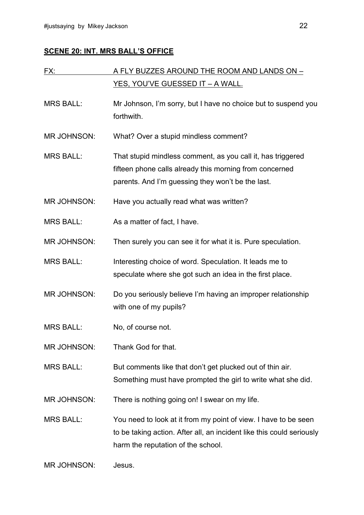## **SCENE 20: INT. MRS BALL'S OFFICE**

| FX:                | A FLY BUZZES AROUND THE ROOM AND LANDS ON -                                  |
|--------------------|------------------------------------------------------------------------------|
|                    | <u>YES, YOU'VE GUESSED IT – A WALL.</u>                                      |
| <b>MRS BALL:</b>   | Mr Johnson, I'm sorry, but I have no choice but to suspend you<br>forthwith. |
|                    |                                                                              |
| <b>MR JOHNSON:</b> | What? Over a stupid mindless comment?                                        |
| <b>MRS BALL:</b>   | That stupid mindless comment, as you call it, has triggered                  |
|                    | fifteen phone calls already this morning from concerned                      |
|                    | parents. And I'm guessing they won't be the last.                            |
| MR JOHNSON:        | Have you actually read what was written?                                     |
| <b>MRS BALL:</b>   | As a matter of fact, I have.                                                 |
| <b>MR JOHNSON:</b> | Then surely you can see it for what it is. Pure speculation.                 |
| <b>MRS BALL:</b>   | Interesting choice of word. Speculation. It leads me to                      |
|                    | speculate where she got such an idea in the first place.                     |
| <b>MR JOHNSON:</b> | Do you seriously believe I'm having an improper relationship                 |
|                    | with one of my pupils?                                                       |
| <b>MRS BALL:</b>   | No, of course not.                                                           |
| <b>MR JOHNSON:</b> | Thank God for that.                                                          |
| <b>MRS BALL:</b>   | But comments like that don't get plucked out of thin air.                    |
|                    | Something must have prompted the girl to write what she did.                 |
| <b>MR JOHNSON:</b> | There is nothing going on! I swear on my life.                               |
| <b>MRS BALL:</b>   | You need to look at it from my point of view. I have to be seen              |
|                    | to be taking action. After all, an incident like this could seriously        |
|                    | harm the reputation of the school.                                           |
| MR JOHNSON:        | Jesus.                                                                       |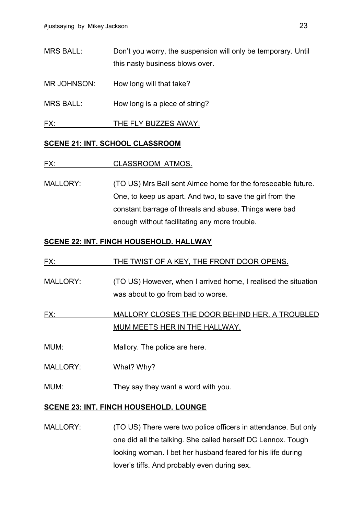MRS BALL: Don't you worry, the suspension will only be temporary. Until this nasty business blows over.

MR JOHNSON: How long will that take?

MRS BALL: How long is a piece of string?

FX: THE FLY BUZZES AWAY.

#### **SCENE 21: INT. SCHOOL CLASSROOM**

#### FX: CLASSROOM ATMOS.

MALLORY: (TO US) Mrs Ball sent Aimee home for the foreseeable future. One, to keep us apart. And two, to save the girl from the constant barrage of threats and abuse. Things were bad enough without facilitating any more trouble.

#### **SCENE 22: INT. FINCH HOUSEHOLD. HALLWAY**

| FX:             | THE TWIST OF A KEY, THE FRONT DOOR OPENS.                                                            |
|-----------------|------------------------------------------------------------------------------------------------------|
| <b>MALLORY:</b> | (TO US) However, when I arrived home, I realised the situation<br>was about to go from bad to worse. |
| FX:             | MALLORY CLOSES THE DOOR BEHIND HER. A TROUBLED<br>MUM MEETS HER IN THE HALLWAY.                      |
|                 |                                                                                                      |
| MUM:            | Mallory. The police are here.                                                                        |
| <b>MALLORY:</b> | What? Why?                                                                                           |
| MUM:            | They say they want a word with you.                                                                  |

#### **SCENE 23: INT. FINCH HOUSEHOLD. LOUNGE**

MALLORY: (TO US) There were two police officers in attendance. But only one did all the talking. She called herself DC Lennox. Tough looking woman. I bet her husband feared for his life during lover's tiffs. And probably even during sex.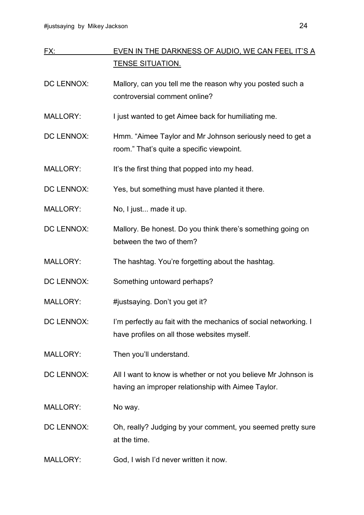| FX:               | EVEN IN THE DARKNESS OF AUDIO, WE CAN FEEL IT'S A                |
|-------------------|------------------------------------------------------------------|
|                   | <b>TENSE SITUATION.</b>                                          |
| <b>DC LENNOX:</b> | Mallory, can you tell me the reason why you posted such a        |
|                   | controversial comment online?                                    |
| <b>MALLORY:</b>   | I just wanted to get Aimee back for humiliating me.              |
| <b>DC LENNOX:</b> | Hmm. "Aimee Taylor and Mr Johnson seriously need to get a        |
|                   | room." That's quite a specific viewpoint.                        |
| <b>MALLORY:</b>   | It's the first thing that popped into my head.                   |
| <b>DC LENNOX:</b> | Yes, but something must have planted it there.                   |
| <b>MALLORY:</b>   | No, I just made it up.                                           |
| <b>DC LENNOX:</b> | Mallory. Be honest. Do you think there's something going on      |
|                   | between the two of them?                                         |
| <b>MALLORY:</b>   | The hashtag. You're forgetting about the hashtag.                |
| <b>DC LENNOX:</b> | Something untoward perhaps?                                      |
| <b>MALLORY:</b>   | #justsaying. Don't you get it?                                   |
| <b>DC LENNOX:</b> | I'm perfectly au fait with the mechanics of social networking. I |
|                   | have profiles on all those websites myself.                      |
| <b>MALLORY:</b>   | Then you'll understand.                                          |
| <b>DC LENNOX:</b> | All I want to know is whether or not you believe Mr Johnson is   |
|                   | having an improper relationship with Aimee Taylor.               |
| <b>MALLORY:</b>   | No way.                                                          |
| DC LENNOX:        | Oh, really? Judging by your comment, you seemed pretty sure      |
|                   | at the time.                                                     |
| <b>MALLORY:</b>   | God, I wish I'd never written it now.                            |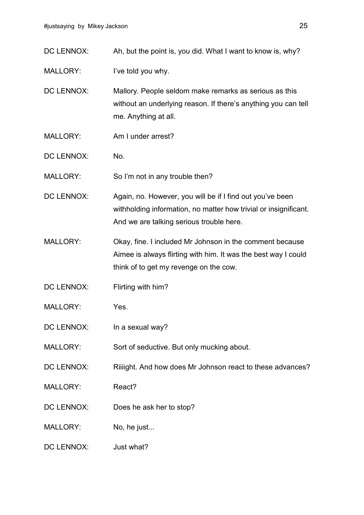| DC LENNOX:        | Ah, but the point is, you did. What I want to know is, why?                                                                                                               |
|-------------------|---------------------------------------------------------------------------------------------------------------------------------------------------------------------------|
| <b>MALLORY:</b>   | I've told you why.                                                                                                                                                        |
| <b>DC LENNOX:</b> | Mallory. People seldom make remarks as serious as this<br>without an underlying reason. If there's anything you can tell<br>me. Anything at all.                          |
| <b>MALLORY:</b>   | Am I under arrest?                                                                                                                                                        |
| <b>DC LENNOX:</b> | No.                                                                                                                                                                       |
| <b>MALLORY:</b>   | So I'm not in any trouble then?                                                                                                                                           |
| <b>DC LENNOX:</b> | Again, no. However, you will be if I find out you've been<br>withholding information, no matter how trivial or insignificant.<br>And we are talking serious trouble here. |
| <b>MALLORY:</b>   | Okay, fine. I included Mr Johnson in the comment because<br>Aimee is always flirting with him. It was the best way I could<br>think of to get my revenge on the cow.      |
| <b>DC LENNOX:</b> | Flirting with him?                                                                                                                                                        |
| <b>MALLORY:</b>   | Yes.                                                                                                                                                                      |
| DC LENNOX:        | In a sexual way?                                                                                                                                                          |
| <b>MALLORY:</b>   | Sort of seductive. But only mucking about.                                                                                                                                |
| DC LENNOX:        | Riiiight. And how does Mr Johnson react to these advances?                                                                                                                |
| <b>MALLORY:</b>   | React?                                                                                                                                                                    |
| DC LENNOX:        | Does he ask her to stop?                                                                                                                                                  |
| <b>MALLORY:</b>   | No, he just                                                                                                                                                               |
| DC LENNOX:        | Just what?                                                                                                                                                                |
|                   |                                                                                                                                                                           |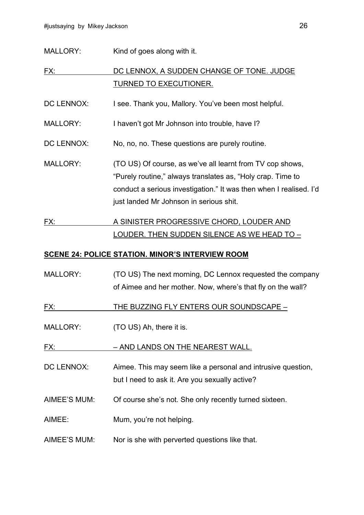MALLORY: Kind of goes along with it.

FX: DC LENNOX, A SUDDEN CHANGE OF TONE. JUDGE TURNED TO EXECUTIONER.

DC LENNOX: I see. Thank you, Mallory. You've been most helpful.

MALLORY: I haven't got Mr Johnson into trouble, have I?

DC LENNOX: No, no, no. These questions are purely routine.

MALLORY: (TO US) Of course, as we've all learnt from TV cop shows, "Purely routine," always translates as, "Holy crap. Time to conduct a serious investigation." It was then when I realised. I'd just landed Mr Johnson in serious shit.

## FX: A SINISTER PROGRESSIVE CHORD, LOUDER AND LOUDER. THEN SUDDEN SILENCE AS WE HEAD TO –

#### **SCENE 24: POLICE STATION. MINOR'S INTERVIEW ROOM**

MALLORY: (TO US) The next morning, DC Lennox requested the company of Aimee and her mother. Now, where's that fly on the wall?

FX: THE BUZZING FLY ENTERS OUR SOUNDSCAPE –

MALLORY: (TO US) Ah, there it is.

FX: – AND LANDS ON THE NEAREST WALL.

DC LENNOX: Aimee. This may seem like a personal and intrusive question, but I need to ask it. Are you sexually active?

- AIMEE'S MUM: Of course she's not. She only recently turned sixteen.
- AIMEE: Mum, you're not helping.
- AIMEE'S MUM: Nor is she with perverted questions like that.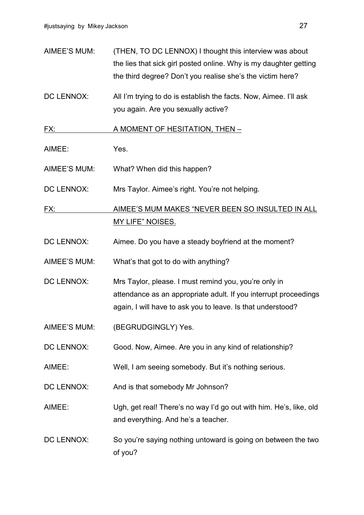- AIMEE'S MUM: (THEN, TO DC LENNOX) I thought this interview was about the lies that sick girl posted online. Why is my daughter getting the third degree? Don't you realise she's the victim here?
- DC LENNOX: All I'm trying to do is establish the facts. Now, Aimee. I'll ask you again. Are you sexually active?

FX: A MOMENT OF HESITATION, THEN –

AIMEE: Yes.

AIMEE'S MUM: What? When did this happen?

DC LENNOX: Mrs Taylor. Aimee's right. You're not helping.

FX: AIMEE'S MUM MAKES "NEVER BEEN SO INSULTED IN ALL MY LIFE" NOISES.

DC LENNOX: Aimee. Do you have a steady boyfriend at the moment?

AIMEE'S MUM: What's that got to do with anything?

- DC LENNOX: Mrs Taylor, please. I must remind you, you're only in attendance as an appropriate adult. If you interrupt proceedings again, I will have to ask you to leave. Is that understood?
- AIMEE'S MUM: (BEGRUDGINGLY) Yes.

DC LENNOX: Good. Now, Aimee. Are you in any kind of relationship?

AIMEE: Well, I am seeing somebody. But it's nothing serious.

DC LENNOX: And is that somebody Mr Johnson?

AIMEE: Ugh, get real! There's no way I'd go out with him. He's, like, old and everything. And he's a teacher.

DC LENNOX: So you're saying nothing untoward is going on between the two of you?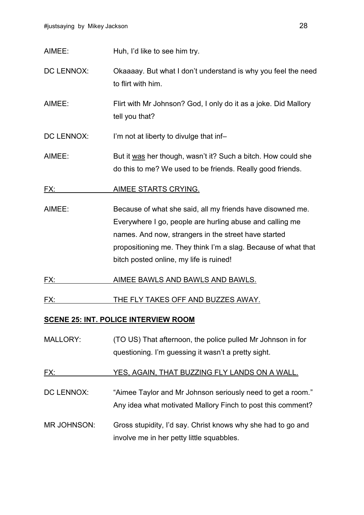AIMEE: Huh, I'd like to see him try.

DC LENNOX: Chaaaay. But what I don't understand is why you feel the need to flirt with him.

AIMEE: Flirt with Mr Johnson? God, I only do it as a joke. Did Mallory tell you that?

DC LENNOX: I'm not at liberty to divulge that inf-

AIMEE: But it was her though, wasn't it? Such a bitch. How could she do this to me? We used to be friends. Really good friends.

FX: AIMEE STARTS CRYING.

- AIMEE: Because of what she said, all my friends have disowned me. Everywhere I go, people are hurling abuse and calling me names. And now, strangers in the street have started propositioning me. They think I'm a slag. Because of what that bitch posted online, my life is ruined!
- FX: AIMEE BAWLS AND BAWLS AND BAWLS.

FX: THE FLY TAKES OFF AND BUZZES AWAY.

#### **SCENE 25: INT. POLICE INTERVIEW ROOM**

MALLORY: (TO US) That afternoon, the police pulled Mr Johnson in for questioning. I'm guessing it wasn't a pretty sight.

#### FX: YES, AGAIN, THAT BUZZING FLY LANDS ON A WALL.

- DC LENNOX: "Aimee Taylor and Mr Johnson seriously need to get a room." Any idea what motivated Mallory Finch to post this comment?
- MR JOHNSON: Gross stupidity, I'd say. Christ knows why she had to go and involve me in her petty little squabbles.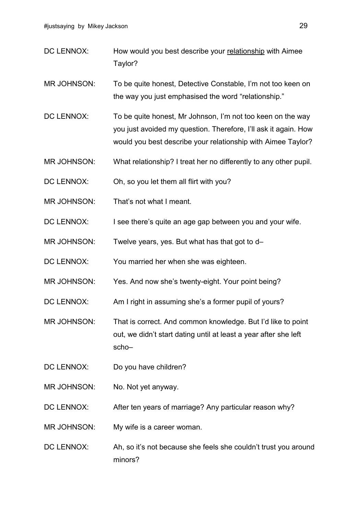- DC LENNOX: How would you best describe your relationship with Aimee Taylor?
- MR JOHNSON: To be quite honest, Detective Constable, I'm not too keen on the way you just emphasised the word "relationship."
- DC LENNOX: To be quite honest, Mr Johnson, I'm not too keen on the way you just avoided my question. Therefore, I'll ask it again. How would you best describe your relationship with Aimee Taylor?
- MR JOHNSON: What relationship? I treat her no differently to any other pupil.
- DC LENNOX: Oh, so you let them all flirt with you?
- MR JOHNSON: That's not what I meant.
- DC LENNOX: I see there's quite an age gap between you and your wife.
- MR JOHNSON: Twelve years, yes. But what has that got to d-
- DC LENNOX: You married her when she was eighteen.
- MR JOHNSON: Yes. And now she's twenty-eight. Your point being?
- DC LENNOX: Am I right in assuming she's a former pupil of yours?
- MR JOHNSON: That is correct. And common knowledge. But I'd like to point out, we didn't start dating until at least a year after she left scho–
- DC LENNOX: Do you have children?
- MR JOHNSON: No. Not yet anyway.
- DC LENNOX: After ten years of marriage? Any particular reason why?
- MR JOHNSON: My wife is a career woman.
- DC LENNOX: Ah, so it's not because she feels she couldn't trust you around minors?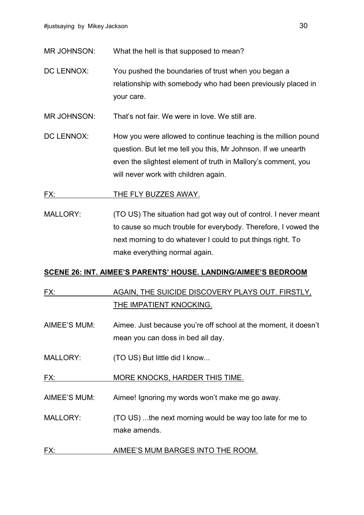MR JOHNSON: What the hell is that supposed to mean?

DC LENNOX: You pushed the boundaries of trust when you began a relationship with somebody who had been previously placed in your care.

MR JOHNSON: That's not fair. We were in love. We still are.

DC LENNOX: How you were allowed to continue teaching is the million pound question. But let me tell you this, Mr Johnson. If we unearth even the slightest element of truth in Mallory's comment, you will never work with children again.

#### FX: THE FLY BUZZES AWAY.

MALLORY: (TO US) The situation had got way out of control. I never meant to cause so much trouble for everybody. Therefore, I vowed the next morning to do whatever I could to put things right. To make everything normal again.

#### **SCENE 26: INT. AIMEE'S PARENTS' HOUSE. LANDING/AIMEE'S BEDROOM**

## FX: AGAIN, THE SUICIDE DISCOVERY PLAYS OUT. FIRSTLY, THE IMPATIENT KNOCKING.

- AIMEE'S MUM: Aimee. Just because you're off school at the moment, it doesn't mean you can doss in bed all day.
- MALLORY: (TO US) But little did I know...
- FX: MORE KNOCKS, HARDER THIS TIME.
- AIMEE'S MUM: Aimee! Ignoring my words won't make me go away.
- MALLORY: (TO US) ...the next morning would be way too late for me to make amends.
- FX: AIMEE'S MUM BARGES INTO THE ROOM.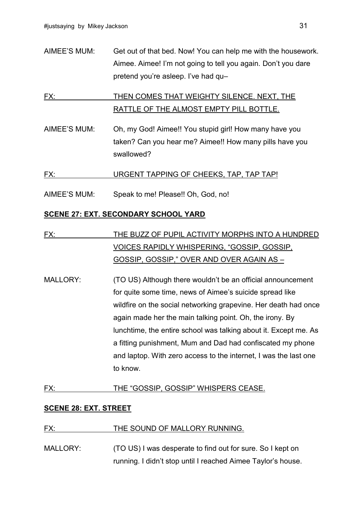AIMEE'S MUM: Get out of that bed. Now! You can help me with the housework. Aimee. Aimee! I'm not going to tell you again. Don't you dare pretend you're asleep. I've had qu–

## FX: THEN COMES THAT WEIGHTY SILENCE. NEXT, THE RATTLE OF THE ALMOST EMPTY PILL BOTTLE.

AIMEE'S MUM: Oh, my God! Aimee!! You stupid girl! How many have you taken? Can you hear me? Aimee!! How many pills have you swallowed?

#### FX: URGENT TAPPING OF CHEEKS, TAP, TAP TAP!

AIMEE'S MUM: Speak to me! Please!! Oh, God, no!

#### **SCENE 27: EXT. SECONDARY SCHOOL YARD**

- FX: THE BUZZ OF PUPIL ACTIVITY MORPHS INTO A HUNDRED VOICES RAPIDLY WHISPERING, "GOSSIP, GOSSIP, GOSSIP, GOSSIP," OVER AND OVER AGAIN AS –
- MALLORY: (TO US) Although there wouldn't be an official announcement for quite some time, news of Aimee's suicide spread like wildfire on the social networking grapevine. Her death had once again made her the main talking point. Oh, the irony. By lunchtime, the entire school was talking about it. Except me. As a fitting punishment, Mum and Dad had confiscated my phone and laptop. With zero access to the internet, I was the last one to know.

#### FX: THE "GOSSIP, GOSSIP" WHISPERS CEASE.

#### **SCENE 28: EXT. STREET**

#### FX: THE SOUND OF MALLORY RUNNING.

MALLORY: (TO US) I was desperate to find out for sure. So I kept on running. I didn't stop until I reached Aimee Taylor's house.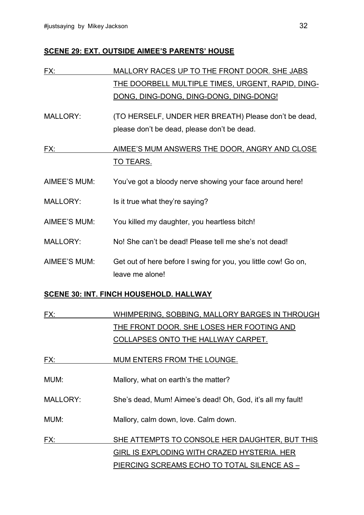#### **SCENE 29: EXT. OUTSIDE AIMEE'S PARENTS' HOUSE**

| FX:             | MALLORY RACES UP TO THE FRONT DOOR. SHE JABS                   |
|-----------------|----------------------------------------------------------------|
|                 | THE DOORBELL MULTIPLE TIMES, URGENT, RAPID, DING-              |
|                 | DONG, DING-DONG, DING-DONG, DING-DONG!                         |
| <b>MALLORY:</b> | (TO HERSELF, UNDER HER BREATH) Please don't be dead,           |
|                 | please don't be dead, please don't be dead.                    |
| FX:             | AIMEE'S MUM ANSWERS THE DOOR, ANGRY AND CLOSE                  |
|                 | <u>TO TEARS.</u>                                               |
| AIMEE'S MUM:    | You've got a bloody nerve showing your face around here!       |
| <b>MALLORY:</b> | Is it true what they're saying?                                |
| AIMEE'S MUM:    | You killed my daughter, you heartless bitch!                   |
| <b>MALLORY:</b> | No! She can't be dead! Please tell me she's not dead!          |
| AIMEE'S MUM:    | Get out of here before I swing for you, you little cow! Go on, |
|                 | leave me alone!                                                |
|                 | <b>SCENE 30: INT. FINCH HOUSEHOLD. HALLWAY</b>                 |

| <u>FX:</u> | WHIMPERING, SOBBING, MALLORY BARGES IN THROUGH |
|------------|------------------------------------------------|
|            | THE FRONT DOOR. SHE LOSES HER FOOTING AND      |
|            | COLLAPSES ONTO THE HALLWAY CARPET.             |

| MUM ENTERS FROM THE LOUNGE.<br>FX: |
|------------------------------------|
|------------------------------------|

MUM: Mallory, what on earth's the matter?

MALLORY: She's dead, Mum! Aimee's dead! Oh, God, it's all my fault!

MUM: Mallory, calm down, love. Calm down.

FX: SHE ATTEMPTS TO CONSOLE HER DAUGHTER, BUT THIS GIRL IS EXPLODING WITH CRAZED HYSTERIA. HER PIERCING SCREAMS ECHO TO TOTAL SILENCE AS –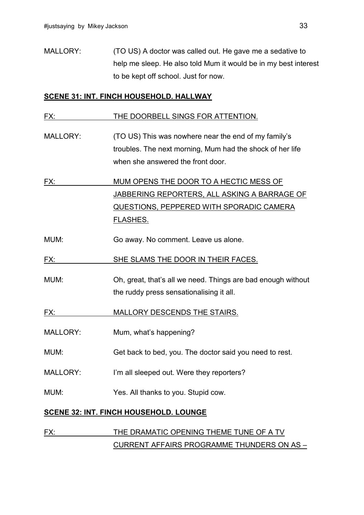MALLORY: (TO US) A doctor was called out. He gave me a sedative to help me sleep. He also told Mum it would be in my best interest to be kept off school. Just for now.

#### **SCENE 31: INT. FINCH HOUSEHOLD. HALLWAY**

#### FX: THE DOORBELL SINGS FOR ATTENTION.

MALLORY: (TO US) This was nowhere near the end of my family's troubles. The next morning, Mum had the shock of her life when she answered the front door.

FX: MUM OPENS THE DOOR TO A HECTIC MESS OF JABBERING REPORTERS, ALL ASKING A BARRAGE OF QUESTIONS, PEPPERED WITH SPORADIC CAMERA FLASHES.

MUM: Go away. No comment. Leave us alone.

FX: SHE SLAMS THE DOOR IN THEIR FACES.

MUM: Oh, great, that's all we need. Things are bad enough without the ruddy press sensationalising it all.

FX: MALLORY DESCENDS THE STAIRS.

- MALLORY: Mum, what's happening?
- MUM: Get back to bed, you. The doctor said you need to rest.
- MALLORY: I'm all sleeped out. Were they reporters?

MUM: Yes. All thanks to you. Stupid cow.

#### **SCENE 32: INT. FINCH HOUSEHOLD. LOUNGE**

## FX: THE DRAMATIC OPENING THEME TUNE OF A TV CURRENT AFFAIRS PROGRAMME THUNDERS ON AS –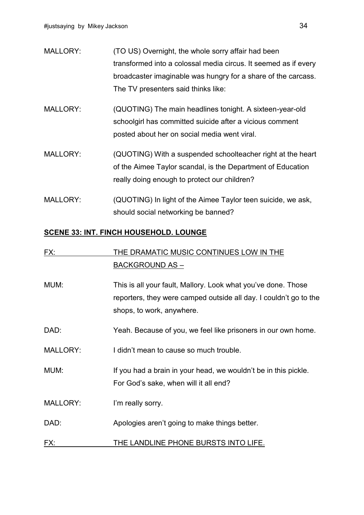| <b>MALLORY:</b> | (TO US) Overnight, the whole sorry affair had been              |
|-----------------|-----------------------------------------------------------------|
|                 | transformed into a colossal media circus. It seemed as if every |
|                 | broadcaster imaginable was hungry for a share of the carcass.   |
|                 | The TV presenters said thinks like:                             |
| <b>MALLORY:</b> | (QUOTING) The main headlines tonight. A sixteen-year-old        |
|                 | schoolgirl has committed suicide after a vicious comment        |
|                 | posted about her on social media went viral.                    |
| <b>MALLORY:</b> | (QUOTING) With a suspended schoolteacher right at the heart     |
|                 | of the Aimee Taylor scandal, is the Department of Education     |
|                 | really doing enough to protect our children?                    |

MALLORY: (QUOTING) In light of the Aimee Taylor teen suicide, we ask, should social networking be banned?

#### **SCENE 33: INT. FINCH HOUSEHOLD. LOUNGE**

| FX:             | THE DRAMATIC MUSIC CONTINUES LOW IN THE                                                                                                                         |
|-----------------|-----------------------------------------------------------------------------------------------------------------------------------------------------------------|
|                 | <b>BACKGROUND AS -</b>                                                                                                                                          |
| MUM:            | This is all your fault, Mallory. Look what you've done. Those<br>reporters, they were camped outside all day. I couldn't go to the<br>shops, to work, anywhere. |
| DAD:            | Yeah. Because of you, we feel like prisoners in our own home.                                                                                                   |
| <b>MALLORY:</b> | I didn't mean to cause so much trouble.                                                                                                                         |
| MUM:            | If you had a brain in your head, we wouldn't be in this pickle.<br>For God's sake, when will it all end?                                                        |
| <b>MALLORY:</b> | I'm really sorry.                                                                                                                                               |
| DAD:            | Apologies aren't going to make things better.                                                                                                                   |
| FX:             | THE LANDLINE PHONE BURSTS INTO LIFE.                                                                                                                            |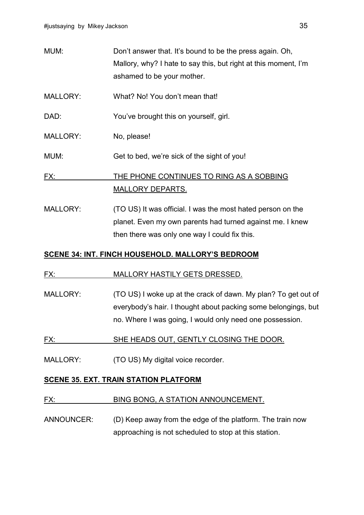| MUM:            | Don't answer that. It's bound to be the press again. Oh,        |
|-----------------|-----------------------------------------------------------------|
|                 | Mallory, why? I hate to say this, but right at this moment, I'm |
|                 | ashamed to be your mother.                                      |
| <b>MALLORY:</b> | What? No! You don't mean that!                                  |
| DAD:            | You've brought this on yourself, girl.                          |
| <b>MALLORY:</b> | No, please!                                                     |
| MUM:            | Get to bed, we're sick of the sight of you!                     |
| FX:             | THE PHONE CONTINUES TO RING AS A SOBBING                        |
|                 | <b>MALLORY DEPARTS.</b>                                         |
| <b>MALLORY:</b> | (TO US) It was official. I was the most hated person on the     |

planet. Even my own parents had turned against me. I knew then there was only one way I could fix this.

#### **SCENE 34: INT. FINCH HOUSEHOLD. MALLORY'S BEDROOM**

#### FX: MALLORY HASTILY GETS DRESSED.

- MALLORY: (TO US) I woke up at the crack of dawn. My plan? To get out of everybody's hair. I thought about packing some belongings, but no. Where I was going, I would only need one possession.
- FX: SHE HEADS OUT, GENTLY CLOSING THE DOOR.
- MALLORY: (TO US) My digital voice recorder.

#### **SCENE 35. EXT. TRAIN STATION PLATFORM**

#### FX: BING BONG, A STATION ANNOUNCEMENT.

ANNOUNCER: (D) Keep away from the edge of the platform. The train now approaching is not scheduled to stop at this station.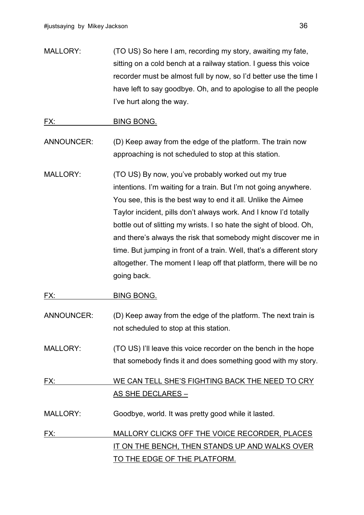MALLORY: (TO US) So here I am, recording my story, awaiting my fate, sitting on a cold bench at a railway station. I guess this voice recorder must be almost full by now, so I'd better use the time I have left to say goodbye. Oh, and to apologise to all the people I've hurt along the way.

#### FX: BING BONG.

- ANNOUNCER: (D) Keep away from the edge of the platform. The train now approaching is not scheduled to stop at this station.
- MALLORY: (TO US) By now, you've probably worked out my true intentions. I'm waiting for a train. But I'm not going anywhere. You see, this is the best way to end it all. Unlike the Aimee Taylor incident, pills don't always work. And I know I'd totally bottle out of slitting my wrists. I so hate the sight of blood. Oh, and there's always the risk that somebody might discover me in time. But jumping in front of a train. Well, that's a different story altogether. The moment I leap off that platform, there will be no going back.

#### FX: BING BONG.

- ANNOUNCER: (D) Keep away from the edge of the platform. The next train is not scheduled to stop at this station.
- MALLORY: (TO US) I'll leave this voice recorder on the bench in the hope that somebody finds it and does something good with my story.

## FX: WE CAN TELL SHE'S FIGHTING BACK THE NEED TO CRY AS SHE DECLARES –

MALLORY: Goodbye, world. It was pretty good while it lasted.

## FX: MALLORY CLICKS OFF THE VOICE RECORDER, PLACES IT ON THE BENCH, THEN STANDS UP AND WALKS OVER TO THE EDGE OF THE PLATFORM.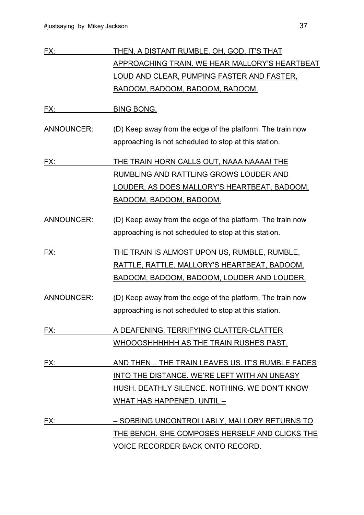| FX:               | <u>THEN, A DISTANT RUMBLE. OH, GOD, IT'S THAT</u>          |
|-------------------|------------------------------------------------------------|
|                   | <b>APPROACHING TRAIN. WE HEAR MALLORY'S HEARTBEAT</b>      |
|                   | <u>LOUD AND CLEAR, PUMPING FASTER AND FASTER,</u>          |
|                   | BADOOM, BADOOM, BADOOM, BADOOM.                            |
| FX:               | <b>BING BONG.</b>                                          |
| <b>ANNOUNCER:</b> | (D) Keep away from the edge of the platform. The train now |
|                   | approaching is not scheduled to stop at this station.      |
| FX:               | THE TRAIN HORN CALLS OUT, NAAA NAAAA! THE                  |
|                   | <b>RUMBLING AND RATTLING GROWS LOUDER AND</b>              |
|                   | <u>LOUDER, AS DOES MALLORY'S HEARTBEAT, BADOOM,</u>        |
|                   | BADOOM, BADOOM, BADOOM.                                    |
| <b>ANNOUNCER:</b> | (D) Keep away from the edge of the platform. The train now |
|                   | approaching is not scheduled to stop at this station.      |
| FX:               | THE TRAIN IS ALMOST UPON US, RUMBLE, RUMBLE,               |
|                   | RATTLE, RATTLE. MALLORY'S HEARTBEAT, BADOOM,               |
|                   | <u>BADOOM, BADOOM, BADOOM, LOUDER AND LOUDER.</u>          |
| <b>ANNOUNCER:</b> | (D) Keep away from the edge of the platform. The train now |
|                   | approaching is not scheduled to stop at this station.      |
| FX:               | A DEAFENING, TERRIFYING CLATTER-CLATTER                    |
|                   | WHOOOSHHHHHH AS THE TRAIN RUSHES PAST.                     |
| FX:               | AND THEN THE TRAIN LEAVES US. IT'S RUMBLE FADES            |
|                   | INTO THE DISTANCE. WE'RE LEFT WITH AN UNEASY               |
|                   | HUSH. DEATHLY SILENCE. NOTHING. WE DON'T KNOW              |
|                   | WHAT HAS HAPPENED. UNTIL -                                 |
| FX:               | - SOBBING UNCONTROLLABLY, MALLORY RETURNS TO               |
|                   | THE BENCH. SHE COMPOSES HERSELF AND CLICKS THE             |
|                   | <u>VOICE RECORDER BACK ONTO RECORD.</u>                    |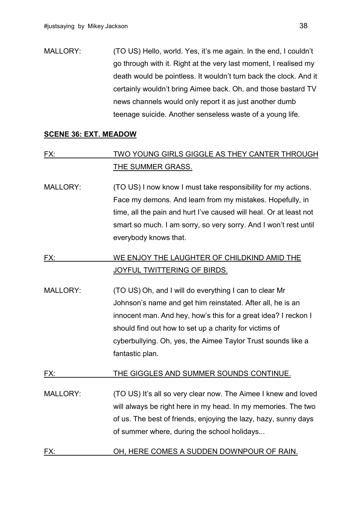MALLORY: (TO US) Hello, world. Yes, it's me again. In the end, I couldn't go through with it. Right at the very last moment, I realised my death would be pointless. It wouldn't turn back the clock. And it certainly wouldn't bring Aimee back. Oh, and those bastard TV news channels would only report it as just another dumb teenage suicide. Another senseless waste of a young life.

#### **SCENE 36: EXT. MEADOW**

## FX: TWO YOUNG GIRLS GIGGLE AS THEY CANTER THROUGH THE SUMMER GRASS.

MALLORY: (TO US) I now know I must take responsibility for my actions. Face my demons. And learn from my mistakes. Hopefully, in time, all the pain and hurt I've caused will heal. Or at least not smart so much. I am sorry, so very sorry. And I won't rest until everybody knows that.

## FX: WE ENJOY THE LAUGHTER OF CHILDKIND AMID THE JOYFUL TWITTERING OF BIRDS.

MALLORY: (TO US) Oh, and I will do everything I can to clear Mr Johnson's name and get him reinstated. After all, he is an innocent man. And hey, how's this for a great idea? I reckon I should find out how to set up a charity for victims of cyberbullying. Oh, yes, the Aimee Taylor Trust sounds like a fantastic plan.

#### FX: THE GIGGLES AND SUMMER SOUNDS CONTINUE.

- MALLORY: (TO US) It's all so very clear now. The Aimee I knew and loved will always be right here in my head. In my memories. The two of us. The best of friends, enjoying the lazy, hazy, sunny days of summer where, during the school holidays...
- FX: OH, HERE COMES A SUDDEN DOWNPOUR OF RAIN.